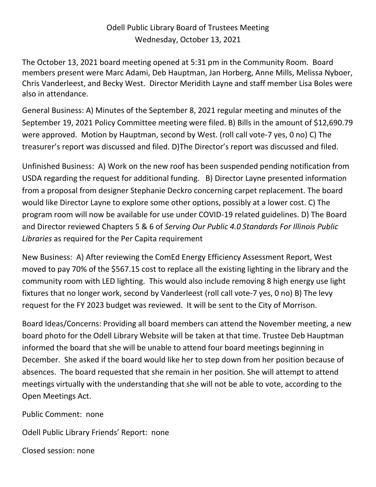## Odell Public Library Board of Trustees Meeting Wednesday, October 13, 2021

The October 13, 2021 board meeting opened at 5:31 pm in the Community Room. Board members present were Marc Adami, Deb Hauptman, Jan Horberg, Anne Mills, Melissa Nyboer, Chris Vanderleest, and Becky West. Director Meridith Layne and staff member Lisa Boles were also in attendance.

General Business: A) Minutes of the September 8, 2021 regular meeting and minutes of the September 19, 2021 Policy Committee meeting were filed. B) Bills in the amount of \$12,690.79 were approved. Motion by Hauptman, second by West. (roll call vote-7 yes, 0 no) C) The treasurer's report was discussed and filed. D)The Director's report was discussed and filed.

Unfinished Business: A) Work on the new roof has been suspended pending notification from USDA regarding the request for additional funding. B) Director Layne presented information from a proposal from designer Stephanie Deckro concerning carpet replacement. The board would like Director Layne to explore some other options, possibly at a lower cost. C) The program room will now be available for use under COVID-19 related guidelines. D) The Board and Director reviewed Chapters 5 & 6 of *Serving Our Public 4.0 Standards For Illinois Public Libraries* as required for the Per Capita requirement

New Business: A) After reviewing the ComEd Energy Efficiency Assessment Report, West moved to pay 70% of the \$567.15 cost to replace all the existing lighting in the library and the community room with LED lighting. This would also include removing 8 high energy use light fixtures that no longer work, second by Vanderleest (roll call vote-7 yes, 0 no) B) The levy request for the FY 2023 budget was reviewed. It will be sent to the City of Morrison.

Board Ideas/Concerns: Providing all board members can attend the November meeting, a new board photo for the Odell Library Website will be taken at that time. Trustee Deb Hauptman informed the board that she will be unable to attend four board meetings beginning in December. She asked if the board would like her to step down from her position because of absences. The board requested that she remain in her position. She will attempt to attend meetings virtually with the understanding that she will not be able to vote, according to the Open Meetings Act.

Public Comment: none

Odell Public Library Friends' Report: none

Closed session: none